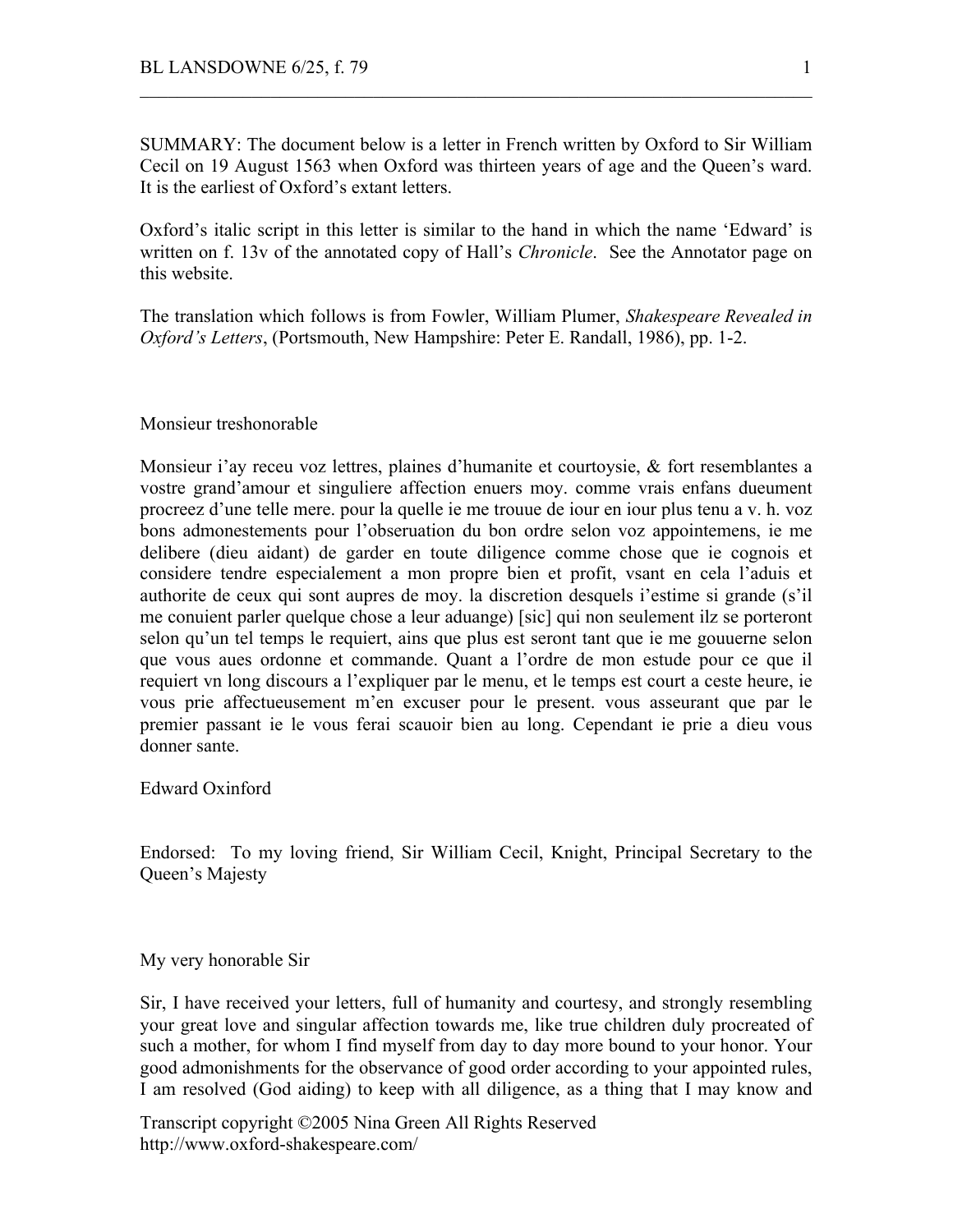SUMMARY: The document below is a letter in French written by Oxford to Sir William Cecil on 19 August 1563 when Oxford was thirteen years of age and the Queen's ward. It is the earliest of Oxford's extant letters.

 $\mathcal{L}_\text{max}$  , and the contribution of the contribution of the contribution of the contribution of the contribution of the contribution of the contribution of the contribution of the contribution of the contribution of t

Oxford's italic script in this letter is similar to the hand in which the name 'Edward' is written on f. 13v of the annotated copy of Hall's *Chronicle*. See the Annotator page on this website.

The translation which follows is from Fowler, William Plumer, *Shakespeare Revealed in Oxford's Letters*, (Portsmouth, New Hampshire: Peter E. Randall, 1986), pp. 1-2.

## Monsieur treshonorable

Monsieur i'ay receu voz lettres, plaines d'humanite et courtoysie, & fort resemblantes a vostre grand'amour et singuliere affection enuers moy. comme vrais enfans dueument procreez d'une telle mere. pour la quelle ie me trouue de iour en iour plus tenu a v. h. voz bons admonestements pour l'obseruation du bon ordre selon voz appointemens, ie me delibere (dieu aidant) de garder en toute diligence comme chose que ie cognois et considere tendre especialement a mon propre bien et profit, vsant en cela l'aduis et authorite de ceux qui sont aupres de moy. la discretion desquels i'estime si grande (s'il me conuient parler quelque chose a leur aduange) [sic] qui non seulement ilz se porteront selon qu'un tel temps le requiert, ains que plus est seront tant que ie me gouuerne selon que vous aues ordonne et commande. Quant a l'ordre de mon estude pour ce que il requiert vn long discours a l'expliquer par le menu, et le temps est court a ceste heure, ie vous prie affectueusement m'en excuser pour le present. vous asseurant que par le premier passant ie le vous ferai scauoir bien au long. Cependant ie prie a dieu vous donner sante.

Edward Oxinford

Endorsed: To my loving friend, Sir William Cecil, Knight, Principal Secretary to the Queen's Majesty

My very honorable Sir

Sir, I have received your letters, full of humanity and courtesy, and strongly resembling your great love and singular affection towards me, like true children duly procreated of such a mother, for whom I find myself from day to day more bound to your honor. Your good admonishments for the observance of good order according to your appointed rules, I am resolved (God aiding) to keep with all diligence, as a thing that I may know and

Transcript copyright ©2005 Nina Green All Rights Reserved http://www.oxford-shakespeare.com/